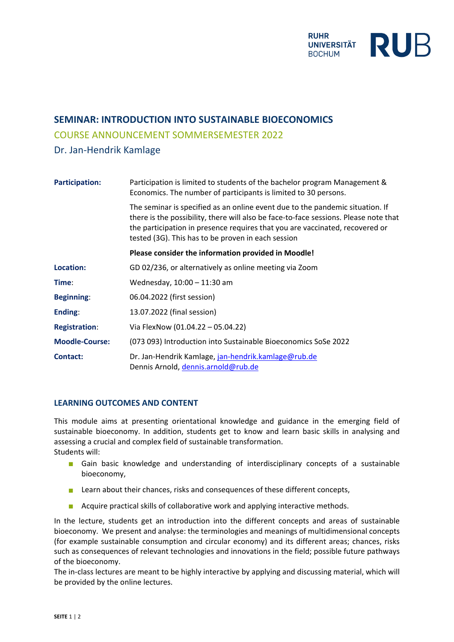

# **SEMINAR: INTRODUCTION INTO SUSTAINABLE BIOECONOMICS**

### COURSE ANNOUNCEMENT SOMMERSEMESTER 2022

## Dr. Jan-Hendrik Kamlage

| <b>Participation:</b> | Participation is limited to students of the bachelor program Management &<br>Economics. The number of participants is limited to 30 persons.                                                                                                                                                                |  |
|-----------------------|-------------------------------------------------------------------------------------------------------------------------------------------------------------------------------------------------------------------------------------------------------------------------------------------------------------|--|
|                       | The seminar is specified as an online event due to the pandemic situation. If<br>there is the possibility, there will also be face-to-face sessions. Please note that<br>the participation in presence requires that you are vaccinated, recovered or<br>tested (3G). This has to be proven in each session |  |
|                       | Please consider the information provided in Moodle!                                                                                                                                                                                                                                                         |  |
| Location:             | GD 02/236, or alternatively as online meeting via Zoom                                                                                                                                                                                                                                                      |  |
| Time:                 | Wednesday, 10:00 - 11:30 am                                                                                                                                                                                                                                                                                 |  |
| <b>Beginning:</b>     | 06.04.2022 (first session)                                                                                                                                                                                                                                                                                  |  |
| Ending:               | 13.07.2022 (final session)                                                                                                                                                                                                                                                                                  |  |
| <b>Registration:</b>  | Via FlexNow (01.04.22 - 05.04.22)                                                                                                                                                                                                                                                                           |  |
| <b>Moodle-Course:</b> | (073 093) Introduction into Sustainable Bioeconomics SoSe 2022                                                                                                                                                                                                                                              |  |
| <b>Contact:</b>       | Dr. Jan-Hendrik Kamlage, jan-hendrik.kamlage@rub.de<br>Dennis Arnold, dennis.arnold@rub.de                                                                                                                                                                                                                  |  |

#### **LEARNING OUTCOMES AND CONTENT**

This module aims at presenting orientational knowledge and guidance in the emerging field of sustainable bioeconomy. In addition, students get to know and learn basic skills in analysing and assessing a crucial and complex field of sustainable transformation. Students will:

- Gain basic knowledge and understanding of interdisciplinary concepts of a sustainable bioeconomy,
- **Learn about their chances, risks and consequences of these different concepts,**
- Acquire practical skills of collaborative work and applying interactive methods.

In the lecture, students get an introduction into the different concepts and areas of sustainable bioeconomy. We present and analyse: the terminologies and meanings of multidimensional concepts (for example sustainable consumption and circular economy) and its different areas; chances, risks such as consequences of relevant technologies and innovations in the field; possible future pathways of the bioeconomy.

The in-class lectures are meant to be highly interactive by applying and discussing material, which will be provided by the online lectures.